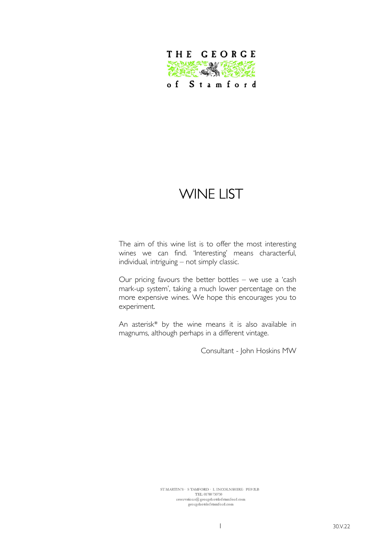

# WINE LIST

The aim of this wine list is to offer the most interesting wines we can find. 'Interesting' means characterful, individual, intriguing – not simply classic.

Our pricing favours the better bottles – we use a 'cash mark-up system', taking a much lower percentage on the more expensive wines. We hope this encourages you to experiment.

An asterisk\* by the wine means it is also available in magnums, although perhaps in a different vintage.

Consultant - John Hoskins MW

 $\begin{minipage}{.4\linewidth} \texttt{ST} \texttt{MARTIN'S} \cdot \texttt{S} \texttt{TAMFORD} \cdot \texttt{L} \texttt{INCOLNSHIRE} \cdot \texttt{PE9} \texttt{ZLB} \end{minipage}$ TEL: 01780 750750  $\,$ georgehotelofstamford.com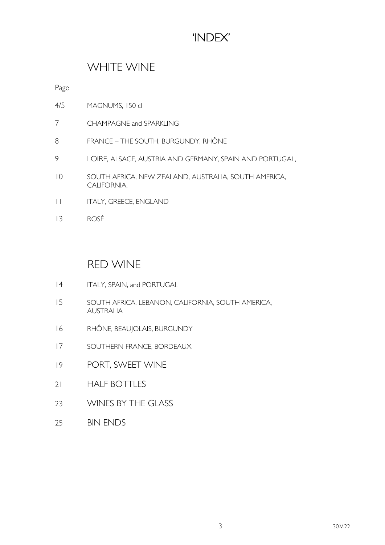## 'INDEX'

### WHITE WINE

Page

- 4/5 MAGNUMS, 150 cl
- 7 CHAMPAGNE and SPARKLING
- 8 FRANCE THE SOUTH, BURGUNDY, RHÔNE
- 9 LOIRE, ALSACE, AUSTRIA AND GERMANY, SPAIN AND PORTUGAL,
- 10 SOUTH AFRICA, NEW ZEALAND, AUSTRALIA, SOUTH AMERICA, CALIFORNIA,
- 11 ITALY, GREECE, ENGLAND
- 13 ROSÉ

#### RED WINE

- 14 ITALY, SPAIN, and PORTUGAL
- 15 SOUTH AFRICA, LEBANON, CALIFORNIA, SOUTH AMERICA, AUSTRALIA
- 16 RHÔNE, BEAUJOLAIS, BURGUNDY
- 17 SOUTHERN FRANCE, BORDEAUX
- 19 PORT, SWEET WINE
- 21 HALF BOTTLES
- 23 WINES BY THE GLASS
- 25 BIN ENDS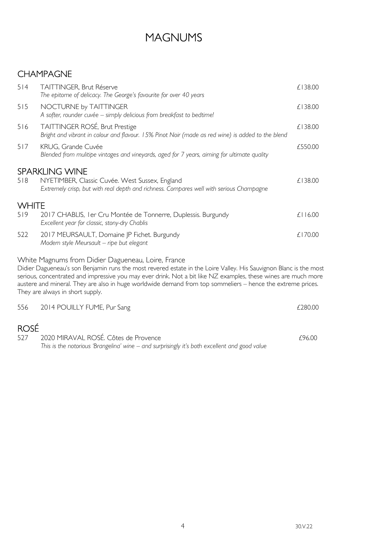## MAGNUMS

### CHAMPAGNE

| 514          | <b>TAITTINGER, Brut Réserve</b><br>The epitome of delicacy. The George's favourite for over 40 years                                                                                                                                                                                                                                                                                                                                         | £138.00      |
|--------------|----------------------------------------------------------------------------------------------------------------------------------------------------------------------------------------------------------------------------------------------------------------------------------------------------------------------------------------------------------------------------------------------------------------------------------------------|--------------|
| 515          | NOCTURNE by TAITTINGER<br>A softer, rounder cuvée - simply delicious from breakfast to bedtime!                                                                                                                                                                                                                                                                                                                                              | £138.00      |
| 516          | TAITTINGER ROSÉ, Brut Prestige<br>Bright and vibrant in colour and flavour. 15% Pinot Noir (made as red wine) is added to the blend                                                                                                                                                                                                                                                                                                          | £138.00      |
| 517          | KRUG, Grande Cuvée<br>Blended from mulitipe vintages and vineyards, aged for 7 years, aiming for ultimate quality                                                                                                                                                                                                                                                                                                                            | £550.00      |
|              | <b>SPARKLING WINE</b>                                                                                                                                                                                                                                                                                                                                                                                                                        |              |
| 518          | NYETIMBER, Classic Cuvée. West Sussex, England<br>Extremely crisp, but with real depth and richness. Compares well with serious Champagne                                                                                                                                                                                                                                                                                                    | £138.00      |
| <b>WHITE</b> |                                                                                                                                                                                                                                                                                                                                                                                                                                              |              |
| 519          | 2017 CHABLIS, I er Cru Montée de Tonnerre, Duplessis. Burgundy<br>Excellent year for classic, stony-dry Chablis                                                                                                                                                                                                                                                                                                                              | $£$   $6.00$ |
| 522          | 2017 MEURSAULT, Domaine JP Fichet. Burgundy<br>Modern style Meursault - ripe but elegant                                                                                                                                                                                                                                                                                                                                                     | £170.00      |
|              | White Magnums from Didier Dagueneau, Loire, France<br>Didier Dagueneau's son Benjamin runs the most revered estate in the Loire Valley. His Sauvignon Blanc is the most<br>serious, concentrated and impressive you may ever drink. Not a bit like NZ examples, these wines are much more<br>austere and mineral. They are also in huge worldwide demand from top sommeliers – hence the extreme prices.<br>They are always in short supply. |              |
| 556          | 2014 POUILLY FUME, Pur Sang                                                                                                                                                                                                                                                                                                                                                                                                                  | £280.00      |
| <b>ROSÉ</b>  |                                                                                                                                                                                                                                                                                                                                                                                                                                              |              |
| 527          | 2020 MIRAVAL ROSÉ. Côtes de Provence                                                                                                                                                                                                                                                                                                                                                                                                         | £96.00       |

This is the notorious 'Brangelina' wine – and surprisingly it's both excellent and good value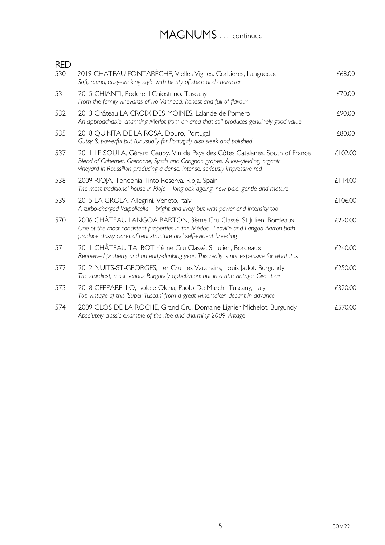## MAGNUMS ... continued

| <b>RED</b> |                                                                                                                                                                                                                                                 |               |
|------------|-------------------------------------------------------------------------------------------------------------------------------------------------------------------------------------------------------------------------------------------------|---------------|
| 530        | 2019 CHATEAU FONTARÈCHE, Vielles Vignes. Corbieres, Languedoc<br>Soft, round, easy-drinking style with plenty of spice and character                                                                                                            | £68.00        |
| 531        | 2015 CHIANTI, Podere il Chiostrino. Tuscany<br>From the family vineyards of Ivo Vannocci; honest and full of flavour                                                                                                                            | £70.00        |
| 532        | 2013 Château LA CROIX DES MOINES. Lalande de Pomerol<br>An approachable, charming Merlot from an area that still produces genuinely good value                                                                                                  | £90.00        |
| 535        | 2018 QUINTA DE LA ROSA. Douro, Portugal<br>Gutsy & powerful but (unusually for Portugal) also sleek and polished                                                                                                                                | £80.00        |
| 537        | 2011 LE SOULA, Gérard Gauby. Vin de Pays des Côtes Catalanes, South of France<br>Blend of Cabernet, Grenache, Syrah and Carignan grapes. A low-yielding, organic<br>vineyard in Roussillon producing a dense, intense, seriously impressive red | £102.00       |
| 538        | 2009 RIOJA, Tondonia Tinto Reserva. Rioja, Spain<br>The most traditional house in Rioja - long oak ageing; now pale, gentle and mature                                                                                                          | $£$   $14.00$ |
| 539        | 2015 LA GROLA, Allegrini. Veneto, Italy<br>A turbo-charged Valpolicella – bright and lively but with power and intensity too                                                                                                                    | £106.00       |
| 570        | 2006 CHÂTEAU LANGOA BARTON, 3ème Cru Classé. St Julien, Bordeaux<br>One of the most consistent properties in the Médoc. Léoville and Langoa Barton both<br>produce classy claret of real structure and self-evident breeding                    | £220.00       |
| 571        | 2011 CHÂTEAU TALBOT, 4ème Cru Classé. St Julien, Bordeaux<br>Renowned property and an early-drinking year. This really is not expensive for what it is                                                                                          | £240.00       |
| 572        | 2012 NUITS-ST-GEORGES, I er Cru Les Vaucrains, Louis Jadot. Burgundy<br>The sturdiest, most serious Burgundy appellation; but in a ripe vintage. Give it air                                                                                    | £250.00       |
| 573        | 2018 CEPPARELLO, Isole e Olena, Paolo De Marchi. Tuscany, Italy<br>Top vintage of this 'Super Tuscan' from a great winemaker; decant in advance                                                                                                 | £320.00       |
| 574        | 2009 CLOS DE LA ROCHE, Grand Cru, Domaine Lignier-Michelot. Burgundy<br>Absolutely classic example of the ripe and charming 2009 vintage                                                                                                        | £570.00       |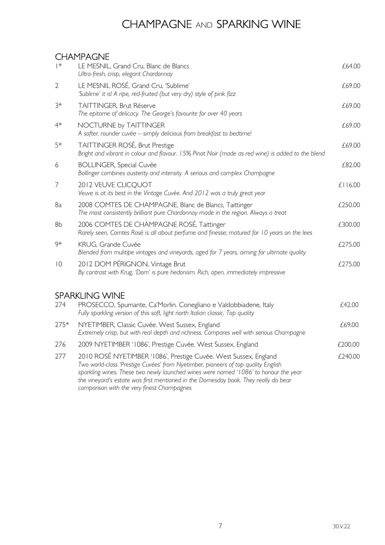## CHAMPAGNE AND SPARKING WINE

#### CHAMPAGNE

| $  *$          | LE MESNIL, Grand Cru, Blanc de Blancs<br>Ultra-fresh, crisp, elegant Chardonnay                                                                                                                                                                                                                                                      | £64.00  |
|----------------|--------------------------------------------------------------------------------------------------------------------------------------------------------------------------------------------------------------------------------------------------------------------------------------------------------------------------------------|---------|
| $\overline{2}$ | LE MESNIL ROSÉ, Grand Cru, 'Sublime'<br>'Sublime' it is! A ripe, red-fruited (but very dry) style of pink fizz                                                                                                                                                                                                                       | £69.00  |
| $3*$           | TAITTINGER, Brut Réserve<br>The epitome of delicacy. The George's favourite for over 40 years                                                                                                                                                                                                                                        | £69.00  |
| $4*$           | NOCTURNE by TAITTINGER<br>A softer, rounder cuvée - simply delicious from breakfast to bedtime!                                                                                                                                                                                                                                      | £69.00  |
| 5*             | TAITTINGER ROSÉ, Brut Prestige<br>Bright and vibrant in colour and flavour. 15% Pinot Noir (made as red wine) is added to the blend                                                                                                                                                                                                  | £69.00  |
| 6              | <b>BOLLINGER, Special Cuvée</b><br>Bollinger combines austerity and intensity. A serious and complex Champagne                                                                                                                                                                                                                       | £82.00  |
| $\overline{ }$ | 2012 VEUVE CLICQUOT<br>Veuve is at its best in the Vintage Cuvée. And 2012 was a truly great year                                                                                                                                                                                                                                    | £116.00 |
| 8a             | 2008 COMTES DE CHAMPAGNE, Blanc de Blancs, Taittinger<br>The most consistently brilliant pure Chardonnay made in the region. Always a treat                                                                                                                                                                                          | £250.00 |
| 8 <sub>b</sub> | 2006 COMTES DE CHAMPAGNE ROSÉ, Taittinger<br>Rarely seen, Comtes Rosé is all about perfume and finesse; matured for 10 years on the lees                                                                                                                                                                                             | £300.00 |
| 9*             | KRUG, Grande Cuvée<br>Blended from mulitipe vintages and vineyards, aged for 7 years, aiming for ultimate quality                                                                                                                                                                                                                    | £275.00 |
| $ 0\rangle$    | 2012 DOM PÉRIGNON, Vintage Brut<br>By contrast with Krug, 'Dom' is pure hedonism. Rich, open, immediately impressive                                                                                                                                                                                                                 | £275.00 |
|                | <b>SPARKLING WINE</b>                                                                                                                                                                                                                                                                                                                |         |
| 274            | PROSECCO, Spumante, Ca'Morlin. Conegliano e Valdobbiadene, Italy<br>Fully sparkling version of this soft, light north Italian classic. Top quality                                                                                                                                                                                   | £42.00  |
| 275*           | NYETIMBER, Classic Cuvée. West Sussex, England<br>Extremely crisp, but with real depth and richness. Compares well with serious Champagne                                                                                                                                                                                            | £69.00  |
| 276            | 2009 NYETIMBER '1086', Prestige Cuvée. West Sussex, England                                                                                                                                                                                                                                                                          | £200.00 |
| 277            | 2010 ROSÉ NYETIMBER '1086', Prestige Cuvée. West Sussex, England<br>Two world-class 'Prestige Cuvées' from Nyetimber, pioneers of top quality English<br>sparkling wines. These two newly launched wines were named '1086' to honour the year<br>the vineyard's estate was first mentioned in the Domesday book. They really do bear | £240.00 |

comparison with the very finest Champagnes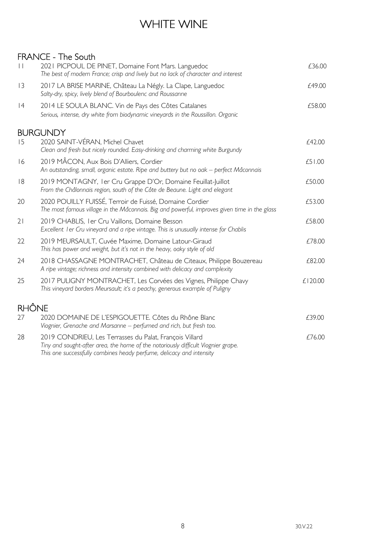## WHITE WINE

#### FRANCE - The South

| $\vert \vert$ | 2021 PICPOUL DE PINET, Domaine Font Mars. Languedoc<br>The best of modern France; crisp and lively but no lack of character and interest                                                                             | £36.00  |
|---------------|----------------------------------------------------------------------------------------------------------------------------------------------------------------------------------------------------------------------|---------|
| 3             | 2017 LA BRISE MARINE, Château La Négly. La Clape, Languedoc<br>Salty-dry, spicy, lively blend of Bourboulenc and Roussanne                                                                                           | £49.00  |
| 4             | 2014 LE SOULA BLANC. Vin de Pays des Côtes Catalanes<br>Serious, intense, dry white from biodynamic vineyards in the Roussillon. Organic                                                                             | £58.00  |
|               | <b>BURGUNDY</b>                                                                                                                                                                                                      |         |
| 15            | 2020 SAINT-VÉRAN, Michel Chavet<br>Clean and fresh but nicely rounded. Easy-drinking and charming white Burgundy                                                                                                     | £42.00  |
| 16            | 2019 MÂCON, Aux Bois D'Alliers, Cordier<br>An outstanding, small, organic estate. Ripe and buttery but no oak - perfect Mâconnais                                                                                    | £51.00  |
| 8             | 2019 MONTAGNY, I er Cru Grappe D'Or, Domaine Feuillat-Juillot<br>From the Châlonnais region, south of the Côte de Beaune. Light and elegant                                                                          | £50.00  |
| 20            | 2020 POUILLY FUISSÉ, Terroir de Fuissé, Domaine Cordier<br>The most famous village in the Mâconnais. Big and powerful, improves given time in the glass                                                              | £53.00  |
| 21            | 2019 CHABLIS, I er Cru Vaillons, Domaine Besson<br>Excellent I er Cru vineyard and a ripe vintage. This is unusually intense for Chablis                                                                             | £58.00  |
| 22            | 2019 MEURSAULT, Cuvée Maxime, Domaine Latour-Giraud<br>This has power and weight, but it's not in the heavy, oaky style of old                                                                                       | £78.00  |
| 24            | 2018 CHASSAGNE MONTRACHET, Château de Citeaux, Philippe Bouzereau<br>A ripe vintage; richness and intensity combined with delicacy and complexity                                                                    | £82.00  |
| 25            | 2017 PULIGNY MONTRACHET, Les Corvées des Vignes, Philippe Chavy<br>This vineyard borders Meursault; it's a peachy, generous example of Puligny                                                                       | £120.00 |
| <b>RHÔNE</b>  |                                                                                                                                                                                                                      |         |
| 27            | 2020 DOMAINE DE L'ESPIGOUETTE. Côtes du Rhône Blanc<br>Viognier, Grenache and Marsanne - perfumed and rich, but fresh too.                                                                                           | £39.00  |
| 28            | 2019 CONDRIEU, Les Terrasses du Palat, François Villard<br>Tiny and sought-after area, the home of the notoriously difficult Viognier grape.<br>This one successfully combines heady perfume, delicacy and intensity | £76.00  |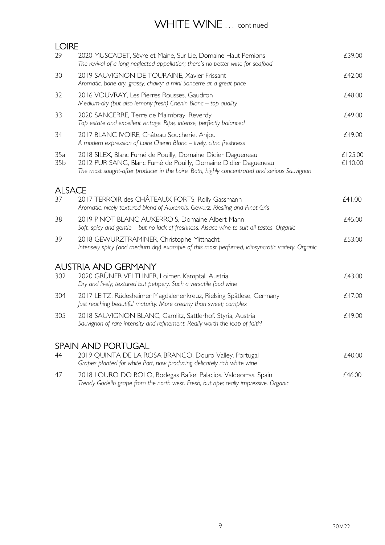### WHITE WINE ... continued

| <b>LOIRE</b>           |                                                                                                                                                                                                                               |                    |
|------------------------|-------------------------------------------------------------------------------------------------------------------------------------------------------------------------------------------------------------------------------|--------------------|
| 29                     | 2020 MUSCADET, Sèvre et Maine, Sur Lie, Domaine Haut Pemions<br>The revival of a long neglected appellation; there's no better wine for seafood                                                                               | £39.00             |
| 30                     | 2019 SAUVIGNON DE TOURAINE, Xavier Frissant<br>Aromatic, bone dry, grassy, chalky: a mini Sancerre at a great price                                                                                                           | £42.00             |
| 32                     | 2016 VOUVRAY, Les Pierres Rousses, Gaudron<br>Medium-dry (but also lemony fresh) Chenin Blanc - top quality                                                                                                                   | £48.00             |
| 33                     | 2020 SANCERRE, Terre de Maimbray, Reverdy<br>Top estate and excellent vintage. Ripe, intense, perfectly balanced                                                                                                              | £49.00             |
| 34                     | 2017 BLANC IVOIRE, Château Soucherie. Anjou<br>A modern expression of Loire Chenin Blanc - lively, citric freshness                                                                                                           | £49.00             |
| 35a<br>35 <sub>b</sub> | 2018 SILEX, Blanc Fumé de Pouilly, Domaine Didier Dagueneau<br>2012 PUR SANG, Blanc Fumé de Pouilly, Domaine Didier Dagueneau<br>The most sought-after producer in the Loire. Both, highly concentrated and serious Sauvignon | £125.00<br>£140.00 |
| <b>ALSACE</b>          |                                                                                                                                                                                                                               |                    |
| 37                     | 2017 TERROIR des CHÂTEAUX FORTS, Rolly Gassmann<br>Aromatic, nicely textured blend of Auxerrois, Gewurz, Riesling and Pinot Gris                                                                                              | £41.00             |
| 38                     | 2019 PINOT BLANC AUXERROIS, Domaine Albert Mann<br>Soft, spicy and gentle - but no lack of freshness. Alsace wine to suit all tastes. Organic                                                                                 | £45.00             |
| 39                     | 2018 GEWURZTRAMINER, Christophe Mittnacht<br>Intensely spicy (and medium dry) example of this most perfumed, idiosyncratic variety. Organic                                                                                   | £53.00             |
|                        | <b>AUSTRIA AND GERMANY</b>                                                                                                                                                                                                    |                    |
| 302                    | 2020 GRÜNER VELTLINER, Loimer. Kamptal, Austria<br>Dry and lively; textured but peppery. Such a versatile food wine                                                                                                           | £43.00             |
| 304                    | 2017 LEITZ, Rüdesheimer Magdalenenkreuz, Rielsing Spätlese, Germany<br>Just reaching beautiful maturity. More creamy than sweet; complex                                                                                      | £47.00             |
| 305                    | 2018 SAUVIGNON BLANC, Gamlitz, Sattlerhof. Styria, Austria<br>Sauvignon of rare intensity and refinement. Really worth the leap of faith!                                                                                     | £49.00             |
|                        | <b>SPAIN AND PORTUGAL</b>                                                                                                                                                                                                     |                    |
| 44                     | 2019 QUINTA DE LA ROSA BRANCO. Douro Valley, Portugal<br>Grapes planted for white Port, now producing delicately rich white wine                                                                                              | £40.00             |
| 47                     | 2018 LOURO DO BOLO, Bodegas Rafael Palacios. Valdeorras, Spain                                                                                                                                                                | £46.00             |

Trendy Godello grape from the north west. Fresh, but ripe; really impressive. Organic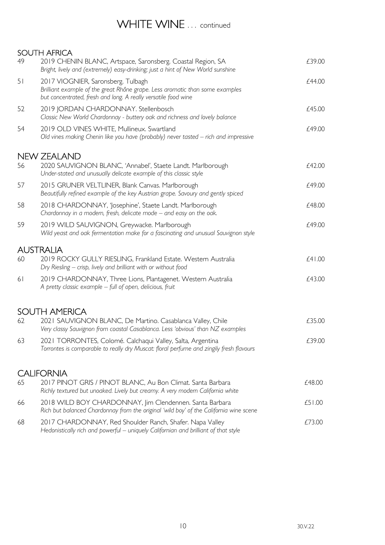### WHITE WINE ... continued

SOUTH AFRICA 49 2019 CHENIN BLANC, Artspace, Saronsberg. Coastal Region, SA  $\qquad 2019$  CHENIN BLANC, Artspace, Saronsberg. Coastal Region, SA Bright, lively and (extremely) easy-drinking; just a hint of New World sunshine 51 2017 VIOGNIER, Saronsberg. Tulbagh **EXALL SERVICES 2017** VIOGNIER, Saronsberg. Tulbagh Brilliant example of the great Rhône grape. Less aromatic than some examples but concentrated, fresh and long. A really versatile food wine 52 2019 JORDAN CHARDONNAY. Stellenbosch **EXAMPLE 2019** JORDAN CHARDONNAY. Stellenbosch Classic New World Chardonnay - buttery oak and richness and lovely balance 54 2019 OLD VINES WHITE, Mullineux, Swartland **Example 2019** OLD 2019 OLD VINES WHITE, Mullineux, Swartland Old vines making Chenin like you have (probably) never tasted – rich and impressive NEW ZEALAND 56 2020 SAUVIGNON BLANC, 'Annabel', Staete Landt. Marlborough  $£42.00$ Under-stated and unusually delicate example of this classic style 57 2015 GRUNER VELTLINER, Blank Canvas. Marlborough **EXAMPS** 2015 68 249.00 Beautifully refined example of the key Austrian grape. Savoury and gently spiced 58 2018 CHARDONNAY, 'Josephine', Staete Landt. Marlborough £48.00 Chardonnay in a modern, fresh, delicate mode – and easy on the oak. 59 2019 WILD SAUVIGNON, Greywacke. Marlborough  $f$ 49.00 Wild yeast and oak fermentation make for a fascinating and unusual Sauvignon style AUSTRALIA 60 2019 ROCKY GULLY RIESLING, Frankland Estate. Western Australia £41.00 Dry Riesling – crisp, lively and brilliant with or without food 61 2019 CHARDONNAY, Three Lions, Plantagenet. Western Australia £43.00 A pretty classic example – full of open, delicious, fruit SOUTH AMERICA 62 2021 SAUVIGNON BLANC, De Martino. Casablanca Valley, Chile  $\epsilon$ 35.00 Very classy Sauvignon from coastal Casablanca. Less 'obvious' than NZ examples 63 2021 TORRONTES, Colomé. Calchaqui Valley, Salta, Argentina £39.00 Torrontes is comparable to really dry Muscat: floral perfume and zingily fresh flavours CALIFORNIA 65 2017 PINOT GRIS / PINOT BLANC, Au Bon Climat. Santa Barbara £48.00 Richly textured but unoaked. Lively but creamy. A very modern California white 66 2018 WILD BOY CHARDONNAY, Jim Clendennen. Santa Barbara £51.00 Rich but balanced Chardonnay from the original 'wild boy' of the California wine scene 68 2017 CHARDONNAY, Red Shoulder Ranch, Shafer. Napa Valley 673.00 Hedonistically rich and powerful – uniquely Californian and brilliant of that style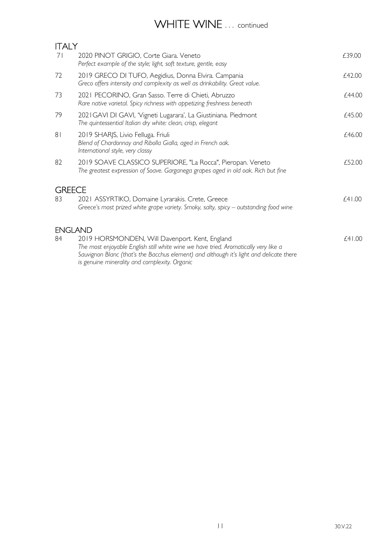# WHITE WINE ... continued

| 71                  | 2020 PINOT GRIGIO, Corte Giara. Veneto<br>Perfect example of the style; light, soft texture, gentle, easy                                                                                                                                                                         | £39.00 |
|---------------------|-----------------------------------------------------------------------------------------------------------------------------------------------------------------------------------------------------------------------------------------------------------------------------------|--------|
| 72                  | 2019 GRECO DI TUFO, Aegidius, Donna Elvira. Campania<br>Greco offers intensity and complexity as well as drinkability. Great value.                                                                                                                                               | £42.00 |
| 73                  | 2021 PECORINO, Gran Sasso. Terre di Chieti, Abruzzo<br>Rare native varietal. Spicy richness with appetizing freshness beneath                                                                                                                                                     | £44.00 |
| 79                  | 2021 GAVI DI GAVI, 'Vigneti Lugarara', La Giustiniana. Piedmont<br>The quintessential Italian dry white: clean, crisp, elegant                                                                                                                                                    | £45.00 |
| 8 <sub>1</sub>      | 2019 SHARJS, Livio Felluga. Friuli<br>Blend of Chardonnay and Ribolla Gialla, aged in French oak.<br>International style, very classy                                                                                                                                             | £46.00 |
| 82                  | 2019 SOAVE CLASSICO SUPERIORE, "La Rocca", Pieropan. Veneto<br>The greatest expression of Soave. Garganega grapes aged in old oak. Rich but fine                                                                                                                                  | £52.00 |
| <b>GREECE</b><br>83 | 2021 ASSYRTIKO, Domaine Lyrarakis. Crete, Greece                                                                                                                                                                                                                                  | f41.00 |
|                     | Greece's most prized white grape variety. Smoky, salty, spicy - outstanding food wine                                                                                                                                                                                             |        |
| <b>ENGLAND</b>      |                                                                                                                                                                                                                                                                                   |        |
| 84                  | 2019 HORSMONDEN, Will Davenport. Kent, England<br>The most enjoyable English still white wine we have tried. Aromatically very like a<br>Sauvignon Blanc (that's the Bacchus element) and although it's light and delicate there<br>is genuine minerality and complexity. Organic | f41.00 |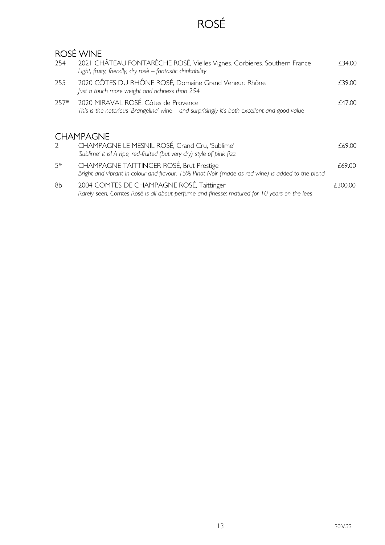# ROSÉ

### ROSÉ WINE

| 254           | 2021 CHÂTEAU FONTARÈCHE ROSÉ, Vielles Vignes. Corbieres. Southern France<br>Light, fruity, friendly, dry rosè - fantastic drinkability        | £34.00  |
|---------------|-----------------------------------------------------------------------------------------------------------------------------------------------|---------|
| 255           | 2020 CÔTES DU RHÔNE ROSÉ, Domaine Grand Veneur. Rhône<br>Just a touch more weight and richness than 254                                       | £39.00  |
| $257*$        | 2020 MIRAVAL ROSÉ. Côtes de Provence<br>This is the notorious 'Brangelina' wine – and surprisingly it's both excellent and good value         | £47.00  |
|               | <b>CHAMPAGNE</b>                                                                                                                              |         |
| $\mathcal{D}$ | CHAMPAGNE LE MESNIL ROSÉ, Grand Cru, 'Sublime'<br>'Sublime' it is! A ripe, red-fruited (but very dry) style of pink fizz                      | £69.00  |
| $5*$          | CHAMPAGNE TAITTINGER ROSÉ, Brut Prestige<br>Bright and vibrant in colour and flavour. 15% Pinot Noir (made as red wine) is added to the blend | £69.00  |
| 8b            | 2004 COMTES DE CHAMPAGNE ROSÉ, Taittinger<br>Rarely seen, Comtes Rosé is all about perfume and finesse; matured for 10 years on the lees      | £300.00 |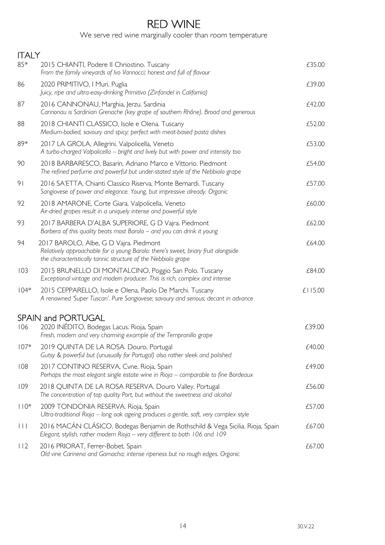### RED WINE

We serve red wine marginally cooler than room temperature

| <b>ITALY</b>        |                                                                                                                                                                                              |         |
|---------------------|----------------------------------------------------------------------------------------------------------------------------------------------------------------------------------------------|---------|
| 85*                 | 2015 CHIANTI, Podere II Chriostino. Tuscany<br>From the family vineyards of Ivo Vannocci; honest and full of flavour                                                                         | £35.00  |
| 86                  | 2020 PRIMITIVO, I Muri. Puglia<br>Juicy, ripe and ultra-easy-drinking Primitivo (Zinfandel in California)                                                                                    | £39.00  |
| 87                  | 2016 CANNONAU, Marghia, Jerzu. Sardinia<br>Cannonau is Sardinian Grenache (key grape of southern Rhône). Broad and generous                                                                  | £42.00  |
| 88                  | 2018 CHIANTI CLASSICO, Isole e Olena. Tuscany<br>Medium-bodied, savoury and spicy; perfect with meat-based pasta dishes                                                                      | £52.00  |
| 89*                 | 2017 LA GROLA, Allegrini. Valpolicella, Veneto<br>A turbo-charged Valpolicella – bright and lively but with power and intensity too                                                          | £53.00  |
| 90                  | 2018 BARBARESCO, Basarin, Adriano Marco e Vittorio. Piedmont<br>The refined perfume and powerful but under-stated style of the Nebbiolo grape                                                | £54.00  |
| 9 <sub>1</sub>      | 2016 SA'ETTA, Chianti Classico Riserva, Monte Bernardi. Tuscany<br>Sangiovese of power and elegance. Young, but impressive already. Organic                                                  | £57.00  |
| 92                  | 2018 AMARONE, Corte Giara. Valpolicella, Veneto<br>Air-dried grapes result in a uniquely intense and powerful style                                                                          | £60.00  |
| 93                  | 2017 BARBERA D'ALBA SUPERIORE, G D Vajra. Piedmont<br>Barbera of this quality beats most Barolo - and you can drink it young                                                                 | £62.00  |
| 94                  | 2017 BAROLO, Albe, G D Vajra. Piedmont<br>Relatively approachable for a young Barolo: there's sweet, briary fruit alongside<br>the characteristically tannic structure of the Nebbiolo grape | £64.00  |
| 103                 | 2015 BRUNELLO DI MONTALCINO, Poggio San Polo. Tuscany<br>Exceptional vintage and modern producer. This is rich, complex and intense                                                          | £84.00  |
| $104*$              | 2015 CEPPARELLO, Isole e Olena, Paolo De Marchi. Tuscany<br>A renowned 'Super Tuscan'. Pure Sangiovese; savoury and serious; decant in advance                                               | £115.00 |
|                     | <b>SPAIN and PORTUGAL</b>                                                                                                                                                                    |         |
| 106                 | 2020 INÉDITO, Bodegas Lacus. Rioja, Spain<br>Fresh, modern and very charming example of the Tempranillo grape                                                                                | £39.00  |
| $107*$              | 2019 QUINTA DE LA ROSA. Douro, Portugal<br>Gutsy & powerful but (unusually for Portugal) also rather sleek and polished                                                                      | £40.00  |
| 108                 | 2017 CONTINO RESERVA, Cvne. Rioja, Spain<br>Perhaps the most elegant single estate wine in Rioja - comparable to fine Bordeaux                                                               | £49.00  |
| 109                 | 2018 QUINTA DE LA ROSA RESERVA. Douro Valley, Portugal<br>The concentration of top quality Port, but without the sweetness and alcohol                                                       | £56.00  |
| $110*$              | 2009 TONDONIA RESERVA. Rioja, Spain<br>Ultra-traditional Rioja - long oak ageing produces a gentle, soft, very complex style                                                                 | £57.00  |
| $\vert \vert \vert$ | 2016 MACÁN CLÁSICO, Bodegas Benjamin de Rothschild & Vega Sicilia. Rioja, Spain<br>Elegant, stylish, rather modern Rioja - very different to both 106 and 109                                | £67.00  |
| 112                 | 2016 PRIORAT, Ferrer-Bobet. Spain<br>Old vine Carinena and Garnacha; intense ripeness but no rough edges. Organic                                                                            | £67.00  |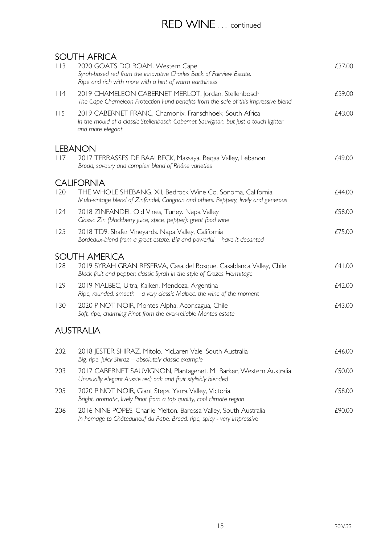### RED WINE ... continued

#### SOUTH AFRICA

| 113 | JUU 11 17 11 11 10 1<br>2020 GOATS DO ROAM. Western Cape<br>Syrah-based red from the innovative Charles Back of Fairview Estate.<br>Ripe and rich with more with a hint of warm earthiness | £37.00 |
|-----|--------------------------------------------------------------------------------------------------------------------------------------------------------------------------------------------|--------|
| 114 | 2019 CHAMELEON CABERNET MERLOT, Jordan. Stellenbosch<br>The Cape Chameleon Protection Fund benefits from the sale of this impressive blend                                                 | £39.00 |
| 115 | 2019 CABERNET FRANC, Chamonix. Franschhoek, South Africa<br>In the mould of a classic Stellenbosch Cabernet Sauvignon, but just a touch lighter<br>and more elegant                        | £43.00 |
|     | <b>LEBANON</b>                                                                                                                                                                             |        |
| 117 | 2017 TERRASSES DE BAALBECK, Massaya. Beqaa Valley, Lebanon<br>Broad, savoury and complex blend of Rhône varieties                                                                          | £49.00 |
|     | <b>CALIFORNIA</b>                                                                                                                                                                          |        |
| 120 | THE WHOLE SHEBANG, XII, Bedrock Wine Co. Sonoma, California<br>Multi-vintage blend of Zinfandel, Carignan and others. Peppery, lively and generous                                         | £44.00 |
| 124 | 2018 ZINFANDEL Old Vines, Turley. Napa Valley<br>Classic Zin (blackberry juice, spice, pepper): great food wine                                                                            | £58.00 |
| 125 | 2018 TD9, Shafer Vineyards. Napa Valley, California<br>Bordeaux-blend from a great estate. Big and powerful - have it decanted                                                             | £75.00 |
|     | <b>SOUTH AMERICA</b>                                                                                                                                                                       |        |
| 128 | 2019 SYRAH GRAN RESERVA, Casa del Bosque. Casablanca Valley, Chile<br>Black fruit and pepper; classic Syrah in the style of Crozes Hermitage                                               | £41.00 |
| 129 | 2019 MALBEC, Ultra, Kaiken. Mendoza, Argentina<br>Ripe, rounded, smooth $-$ a very classic Malbec, the wine of the moment                                                                  | £42.00 |
| 130 | 2020 PINOT NOIR, Montes Alpha. Aconcagua, Chile<br>Soft, ripe, charming Pinot from the ever-reliable Montes estate                                                                         | £43.00 |
|     | <b>AUSTRALIA</b>                                                                                                                                                                           |        |
| 202 | 2018 JESTER SHIRAZ, Mitolo. McLaren Vale, South Australia<br>Big, ripe, juicy Shiraz - absolutely classic example                                                                          | £46.00 |
| 203 | 2017 CABERNET SAUVIGNON, Plantagenet. Mt Barker, Western Australia<br>Unusually elegant Aussie red; oak and fruit stylishly blended                                                        | £50.00 |
| 205 | 2020 PINOT NOIR, Giant Steps. Yarra Valley, Victoria<br>Bright, aromatic, lively Pinot from a top quality, cool climate region                                                             | £58.00 |
| 206 | 2016 NINE POPES, Charlie Melton. Barossa Valley, South Australia                                                                                                                           | £90.00 |

In homage to Châteauneuf du Pape. Broad, ripe, spicy - very impressive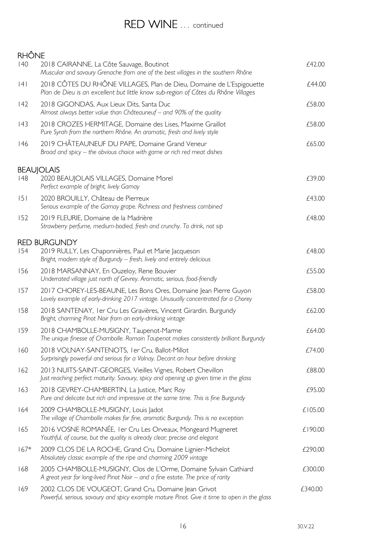### RED WINE ... continued

#### **RHÔNE** 140 2018 CAIRANNE, La Côte Sauvage, Boutinot **Edge and Executive Contract CAI CAI** Muscular and savoury Grenache from one of the best villages in the southern Rhône 141 2018 CÔTES DU RHÔNE VILLAGES, Plan de Dieu, Domaine de L'Espigouette  $f$ 44.00 Plan de Dieu is an excellent but little know sub-region of Côtes du Rhône Villages 142 2018 GIGONDAS, Aux Lieux Dits, Santa Duc **2018** 2018 616000 £58.00 Almost always better value than Châteauneuf – and 90% of the quality 143 2018 CROZES HERMITAGE, Domaine des Lises, Maxime Graillot **£58.00** Pure Syrah from the northern Rhône. An aromatic, fresh and lively style 146 2019 CHÂTEAUNEUF DU PAPE, Domaine Grand Veneur **EGELAU CHARGE 1999** 65.00 Broad and spicy – the obvious choice with game or rich red meat dishes **BEAUJOLAIS** 148 2020 BEAUJOLAIS VILLAGES, Domaine Morel **EXAMPLE 148** 2020 BEAUJOLAIS VILLAGES, Domaine Morel Perfect example of bright, lively Gamay 151 2020 BROUILLY, Château de Pierreux £43.00 Serious example of the Gamay grape. Richness and freshness combined 152 2019 FLEURIE, Domaine de la Madrière £48.00 Strawberry perfume, medium-bodied, fresh and crunchy. To drink, not sip RED BURGUNDY 154 2019 RULLY, Les Chaponnières, Paul et Marie Jacqueson *£48.00* Bright, modern style of Burgundy – fresh, lively and entirely delicious 156 2018 MARSANNAY, En Ouzeloy, Rene Bouvier **ELACK ENGINEERY 1988** 2018 MARSANNAY, En Ouzeloy, Rene Bouvier Underrated village just north of Gevrey. Aromatic, serious, food-friendly 157 2017 CHOREY-LES-BEAUNE, Les Bons Ores, Domaine Jean Pierre Guyon £58.00 Lovely example of early-drinking 2017 vintage. Unusually concentrated for a Chorey 158 2018 SANTENAY, 1er Cru Les Gravières, Vincent Girardin. Burgundy 2018 SANTENAY, 1er Cru Les Gravières, Vincent Girardin. Burgundy Bright, charming Pinot Noir from an early-drinking vintage 159 2018 CHAMBOLLE-MUSIGNY, Taupenot-Marme **159 12018** 2018 CHAMBOLLE-MUSIGNY, Taupenot-Marme The unique finesse of Chambolle. Romain Taupenot makes consistently brilliant Burgundy 160 2018 VOLNAY-SANTENOTS, 1er Cru, Ballot-Millot £74.00 Surprisingly powerful and serious for a Volnay. Decant an hour before drinking 162 2013 NUITS-SAINT-GEORGES, Vieilles Vignes, Robert Chevillon **EXALLES** 2013 NUITS-SAINT-GEORGES, Vieilles Vignes, Robert Chevillon Just reaching perfect maturity. Savoury, spicy and opening up given time in the glass 163 2018 GEVREY-CHAMBERTIN, La Justice, Marc Roy 695.00 Pure and delicate but rich and impressive at the same time. This is fine Burgundy 164 2009 CHAMBOLLE-MUSIGNY, Louis Jadot 2009 CHAMBOLLE-MUSIGNY, Louis Jadot The village of Chambolle makes for fine, aromatic Burgundy. This is no exception 165 2016 VOSNE ROMANÉE, 1er Cru Les Orveaux, Mongeard Mugneret £190.00 Youthful, of course, but the quality is already clear; precise and elegant 167\* 2009 CLOS DE LA ROCHE, Grand Cru, Domaine Lignier-Michelot *£290.00* Absolutely classic example of the ripe and charming 2009 vintage 168 2005 CHAMBOLLE-MUSIGNY, Clos de L'Orme, Domaine Sylvain Cathiard  $£300.00$  A great year for long-lived Pinot Noir – and a fine estate. The price of rarity 169 2002 CLOS DE VOUGEOT, Grand Cru, Domaine Jean Grivot 6340.00 Powerful, serious, savoury and spicy example mature Pinot. Give it time to open in the glass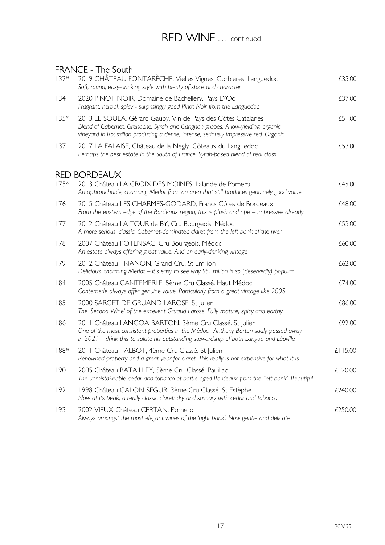## RED WINE ... continued

#### FRANCE - The South

| $132*$     | 2019 CHÂTEAU FONTARÈCHE, Vielles Vignes. Corbieres, Languedoc<br>Soft, round, easy-drinking style with plenty of spice and character                                                                                                     | £35.00  |
|------------|------------------------------------------------------------------------------------------------------------------------------------------------------------------------------------------------------------------------------------------|---------|
| 134        | 2020 PINOT NOIR, Domaine de Bachellery. Pays D'Oc<br>Fragrant, herbal, spicy - surprisingly good Pinot Noir from the Languedoc                                                                                                           | £37.00  |
| $135*$     | 2013 LE SOULA, Gérard Gauby. Vin de Pays des Côtes Catalanes<br>Blend of Cabernet, Grenache, Syrah and Carignan grapes. A low-yielding, organic<br>vineyard in Roussillon producing a dense, intense, seriously impressive red. Organic  | £51.00  |
| 137        | 2017 LA FALAISE, Château de la Negly. Côteaux du Languedoc<br>Perhaps the best estate in the South of France. Syrah-based blend of real class                                                                                            | £53.00  |
| <b>RED</b> | <b>BORDEAUX</b>                                                                                                                                                                                                                          |         |
| $175*$     | 2013 Château LA CROIX DES MOINES. Lalande de Pomerol<br>An approachable, charming Merlot from an area that still produces genuinely good value                                                                                           | £45.00  |
| 176        | 2015 Château LES CHARMES-GODARD, Francs Côtes de Bordeaux<br>From the eastern edge of the Bordeaux region, this is plush and ripe $-$ impressive already                                                                                 | £48.00  |
| 177        | 2012 Château LA TOUR de BY, Cru Bourgeois. Médoc<br>A more serious, classic, Cabernet-dominated claret from the left bank of the river                                                                                                   | £53.00  |
| 178        | 2007 Château POTENSAC, Cru Bourgeois. Médoc<br>An estate always offering great value. And an early-drinking vintage                                                                                                                      | £60.00  |
| 179        | 2012 Château TRIANON, Grand Cru. St Emilion<br>Delicious, charming Merlot - it's easy to see why St Emilion is so (deservedly) popular                                                                                                   | £62.00  |
| 184        | 2005 Château CANTEMERLE, 5ème Cru Classé. Haut Médoc<br>Cantemerle always offer genuine value. Particularly from a great vintage like 2005                                                                                               | £74.00  |
| 185        | 2000 SARGET DE GRUAND LAROSE. St Julien<br>The 'Second Wine' of the excellent Gruaud Larose. Fully mature, spicy and earthy                                                                                                              | £86.00  |
| 186        | 2011 Château LANGOA BARTON, 3ème Cru Classé. St Julien<br>One of the most consistent properties in the Médoc. Anthony Barton sadly passed away<br>in 2021 - drink this to salute his outstanding stewardship of both Langoa and Léoville | £92.00  |
| $188*$     | 2011 Château TALBOT, 4ème Cru Classé. St Julien<br>Renowned property and a great year for claret. This really is not expensive for what it is                                                                                            | £115.00 |
| 190        | 2005 Château BATAILLEY, 5ème Cru Classé. Pauillac<br>The unmistakeable cedar and tobacco of bottle-aged Bordeaux from the 'left bank'. Beautiful                                                                                         | £120.00 |
| 192        | 1998 Château CALON-SÉGUR, 3ème Cru Classé. St Estèphe<br>Now at its peak, a really classic claret: dry and savoury with cedar and tobacco                                                                                                | £240.00 |
| 193        | 2002 VIEUX Château CERTAN. Pomerol<br>Always amongst the most elegant wines of the 'right bank'. Now gentle and delicate                                                                                                                 | £250.00 |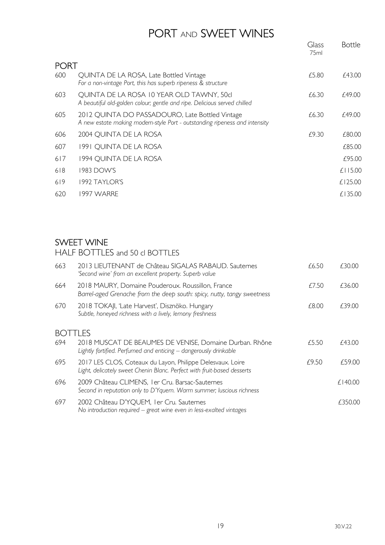## PORT AND SWEET WINES

|             |                                                                                                                               | Glass<br>75ml | <b>Bottle</b> |
|-------------|-------------------------------------------------------------------------------------------------------------------------------|---------------|---------------|
| <b>PORT</b> |                                                                                                                               |               |               |
| 600         | QUINTA DE LA ROSA, Late Bottled Vintage<br>For a non-vintage Port, this has superb ripeness & structure                       | £5.80         | £43.00        |
| 603         | QUINTA DE LA ROSA 10 YEAR OLD TAWNY, 50cl<br>A beautiful old-golden colour; gentle and ripe. Delicious served chilled         | £6.30         | £49.00        |
| 605         | 2012 QUINTA DO PASSADOURO, Late Bottled Vintage<br>A new estate making modern-style Port - outstanding ripeness and intensity | £6.30         | £49.00        |
| 606         | 2004 QUINTA DE LA ROSA                                                                                                        | £9.30         | £80.00        |
| 607         | 1991 QUINTA DE LA ROSA                                                                                                        |               | £85.00        |
| 617         | 1994 QUINTA DE LA ROSA                                                                                                        |               | £95.00        |
| 618         | 1983 DOW'S                                                                                                                    |               | $£$   15.00   |
| 619         | 1992 TAYLOR'S                                                                                                                 |               | £125.00       |
| 620         | 1997 WARRE                                                                                                                    |               | £135.00       |

#### SWEET WINE

HALF BOTTLES and 50 cl BOTTLES

| 663                | 2013 LIEUTENANT de Château SIGALAS RABAUD. Sauternes<br>'Second wine' from an excellent property. Superb value                        | £6.50 | £30.00  |
|--------------------|---------------------------------------------------------------------------------------------------------------------------------------|-------|---------|
| 664                | 2018 MAURY, Domaine Pouderoux. Roussillon, France<br>Barrel-aged Grenache from the deep south: spicy, nutty, tangy sweetness          | £7.50 | £36.00  |
| 670                | 2018 TOKAJI, 'Late Harvest', Disznöko. Hungary<br>Subtle, honeyed richness with a lively, lemony freshness                            | £8.00 | £39.00  |
| TLES<br><b>BOT</b> |                                                                                                                                       |       |         |
| 694                | 2018 MUSCAT DE BEAUMES DE VENISE, Domaine Durban. Rhône<br>Lightly fortified. Perfumed and enticing - dangerously drinkable           | £5.50 | £43.00  |
| 695                | 2017 LES CLOS, Coteaux du Layon, Philippe Delesvaux. Loire<br>Light, delicately sweet Chenin Blanc. Perfect with fruit-based desserts | £9.50 | £59.00  |
| 696                | 2009 Château CLIMENS, I er Cru. Barsac-Sauternes<br>Second in reputation only to D'Yquem. Warm summer; luscious richness              |       | £140.00 |
| 697                | 2002 Château D'YQUEM, I er Cru. Sauternes<br>No introduction required $-$ great wine even in less-exalted vintages                    |       | £350.00 |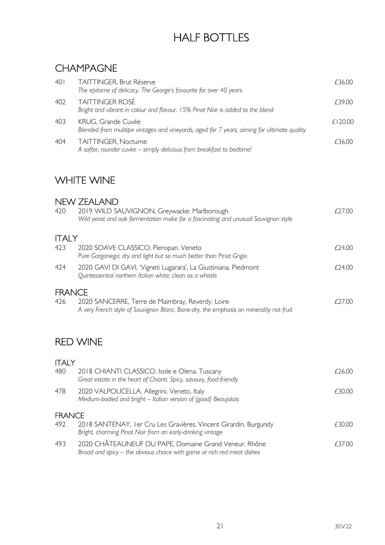# HALF BOTTLES

### CHAMPAGNE

| 401 | TAITTINGER, Brut Réserve<br>The epitome of delicacy. The George's favourite for over 40 years                     | £36.00      |
|-----|-------------------------------------------------------------------------------------------------------------------|-------------|
| 402 | <b>TAITTINGER ROSÉ</b><br>Bright and vibrant in colour and flavour. 15% Pinot Noir is added to the blend          | £39.00      |
| 403 | KRUG, Grande Cuvée<br>Blended from mulitipe vintages and vineyards, aged for 7 years, aiming for ultimate quality | $f$   20.00 |
| 404 | TAITTINGER, Nocturne<br>A softer, rounder cuvée - simply delicious from breakfast to bedtime!                     | £36.00      |

### WHITE WINE

#### NEW ZEALAND

| 420           | 2019 WILD SAUVIGNON, Greywacke. Marlborough<br>Wild yeast and oak fermentation make for a fascinating and unusual Sauvignon style          | £27.00 |
|---------------|--------------------------------------------------------------------------------------------------------------------------------------------|--------|
| <b>ITALY</b>  |                                                                                                                                            |        |
| 423           | 2020 SOAVE CLASSICO, Pieropan. Veneto<br>Pure Garganega; dry and light but so much better than Pinot Grigio                                | £24.00 |
| 424           | 2020 GAVI DI GAVI, 'Vigneti Lugarara', La Giustiniana. Piedmont<br>Quintessential northern Italian white; clean as a whistle               | £24.00 |
| <b>FRANCE</b> |                                                                                                                                            |        |
| 426           | 2020 SANCERRE, Terre de Maimbray, Reverdy. Loire<br>A very French style of Sauvignon Blanc. Bone-dry, the emphasis on minerality not fruit | £27.00 |
|               |                                                                                                                                            |        |
|               | <b>RED WINE</b>                                                                                                                            |        |
| <b>ITALY</b>  |                                                                                                                                            |        |
| 480           | 2018 CHIANTI CLASSICO, Isole e Olena. Tuscany<br>Great estate in the heart of Chianti. Spicy, savoury, food-friendly                       | £26.00 |
| 478           | 2020 VALPOLICELLA, Allegrini. Veneto, Italy<br>Medium-bodied and bright - Italian version of (good) Beaujolais                             | £30.00 |
| <b>FRANCE</b> |                                                                                                                                            |        |
| 492           | 2018 SANTENAY, I er Cru Les Gravières, Vincent Girardin. Burgundy<br>Bright, charming Pinot Noir from an early-drinking vintage            | £30.00 |
| 493           | 2020 CHÂTEAUNEUF DU PAPE, Domaine Grand Veneur. Rhône<br>Broad and spicy – the obvious choice with game or rich red meat dishes            | £37.00 |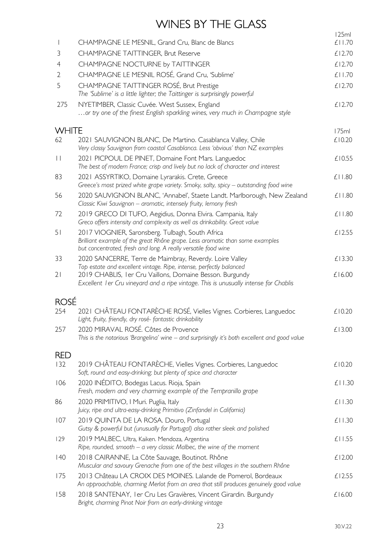# WINES BY THE GLASS

|                |                                                                                                                                                                                                                           | 125ml        |
|----------------|---------------------------------------------------------------------------------------------------------------------------------------------------------------------------------------------------------------------------|--------------|
|                | CHAMPAGNE LE MESNIL, Grand Cru, Blanc de Blancs                                                                                                                                                                           | £11.70       |
| 3              | CHAMPAGNE TAITTINGER, Brut Reserve                                                                                                                                                                                        | £12.70       |
| 4              | CHAMPAGNE NOCTURNE by TAITTINGER                                                                                                                                                                                          | £12.70       |
| $\overline{2}$ | CHAMPAGNE LE MESNIL ROSÉ, Grand Cru, 'Sublime'                                                                                                                                                                            | £11.70       |
| 5              | CHAMPAGNE TAITTINGER ROSÉ, Brut Prestige<br>The 'Sublime' is a little lighter; the Taittinger is surprisingly powerful                                                                                                    | £12.70       |
| 275            | NYETIMBER, Classic Cuvée. West Sussex, England<br>or try one of the finest English sparkling wines, very much in Champagne style                                                                                          | £12.70       |
| <b>WHITE</b>   |                                                                                                                                                                                                                           | 175ml        |
| 62             | 2021 SAUVIGNON BLANC, De Martino. Casablanca Valley, Chile<br>Very classy Sauvignon from coastal Casablanca. Less 'obvious' than NZ examples                                                                              | £10.20       |
| $\vert \vert$  | 2021 PICPOUL DE PINET, Domaine Font Mars. Languedoc<br>The best of modern France; crisp and lively but no lack of character and interest                                                                                  | £10.55       |
| 83             | 2021 ASSYRTIKO, Domaine Lyrarakis. Crete, Greece<br>Greece's most prized white grape variety. Smoky, salty, spicy - outstanding food wine                                                                                 | £11.80       |
| 56             | 2020 SAUVIGNON BLANC, 'Annabel', Staete Landt. Marlborough, New Zealand<br>Classic Kiwi Sauvignon - aromatic, intensely fruity, lemony fresh                                                                              | £11.80       |
| 72             | 2019 GRECO DI TUFO, Aegidius, Donna Elvira. Campania, Italy<br>Greco offers intensity and complexity as well as drinkability. Great value                                                                                 | £11.80       |
| 51             | 2017 VIOGNIER, Saronsberg. Tulbagh, South Africa<br>Brilliant example of the great Rhône grape. Less aromatic than some examples<br>but concentrated, fresh and long. A really versatile food wine                        | £12.55       |
| 33             | 2020 SANCERRE, Terre de Maimbray, Reverdy. Loire Valley                                                                                                                                                                   | £13.30       |
| 21             | Top estate and excellent vintage. Ripe, intense, perfectly balanced<br>2019 CHABLIS, I er Cru Vaillons, Domaine Besson. Burgundy<br>Excellent I er Cru vineyard and a ripe vintage. This is unusually intense for Chablis | £16.00       |
| <b>ROSÉ</b>    |                                                                                                                                                                                                                           |              |
| 254            | 2021 CHÂTEAU FONTARÈCHE ROSÉ, Vielles Vignes. Corbieres, Languedoc<br>Light, fruity, friendly, dry rosé-fantastic drinkability                                                                                            | £10.20       |
| 257            | 2020 MIRAVAL ROSÉ. Côtes de Provence<br>This is the notorious 'Brangelina' wine - and surprisingly it's both excellent and good value                                                                                     | £13.00       |
| <b>RED</b>     |                                                                                                                                                                                                                           |              |
| 132            | 2019 CHÂTEAU FONTARÈCHE, Vielles Vignes. Corbieres, Languedoc<br>Soft, round and easy-drinking; but plenty of spice and character                                                                                         | £10.20       |
| 106            | 2020 INÉDITO, Bodegas Lacus. Rioja, Spain<br>Fresh, modern and very charming example of the Tempranillo grape                                                                                                             | £11.30       |
| 86             | 2020 PRIMITIVO, I Muri. Puglia, Italy<br>Juicy, ripe and ultra-easy-drinking Primitivo (Zinfandel in California)                                                                                                          | £11.30       |
| 107            | 2019 QUINTA DE LA ROSA. Douro, Portugal<br>Gutsy & powerful but (unusually for Portugal) also rather sleek and polished                                                                                                   | £11.30       |
| 129            | 2019 MALBEC, Ultra, Kaiken. Mendoza, Argentina<br>Ripe, rounded, smooth $-$ a very classic Malbec, the wine of the moment                                                                                                 | $£$   $1.55$ |
| 40             | 2018 CAIRANNE, La Côte Sauvage, Boutinot. Rhône<br>Muscular and savoury Grenache from one of the best villages in the southern Rhône                                                                                      | £12.00       |
| 175            | 2013 Château LA CROIX DES MOINES. Lalande de Pomerol, Bordeaux<br>An approachable, charming Merlot from an area that still produces genuinely good value                                                                  | £12.55       |
| 158            | 2018 SANTENAY, I er Cru Les Gravières, Vincent Girardin. Burgundy<br>Bright, charming Pinot Noir from an early-drinking vintage                                                                                           | £16.00       |